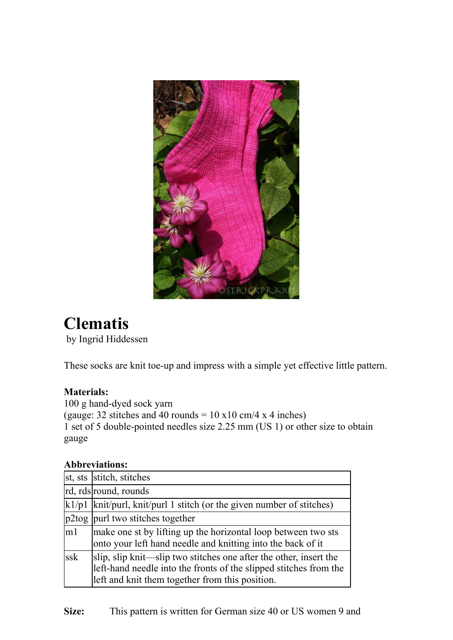

# **Clematis**

by Ingrid Hiddessen

These socks are knit toe-up and impress with a simple yet effective little pattern.

# **Materials:**

100 g hand-dyed sock yarn (gauge: 32 stitches and 40 rounds =  $10 \times 10 \text{ cm}/4 \times 4 \text{ inches}$ ) 1 set of 5 double-pointed needles size 2.25 mm (US 1) or other size to obtain gauge

#### **Abbreviations:**

|     | st, sts stitch, stitches                                                                                                                                                                  |
|-----|-------------------------------------------------------------------------------------------------------------------------------------------------------------------------------------------|
|     | rd, rds round, rounds                                                                                                                                                                     |
|     | $\vert k \vert / \rho \vert$ knit/purl, knit/purl 1 stitch (or the given number of stitches)                                                                                              |
|     | p2tog purl two stitches together                                                                                                                                                          |
| m1  | make one st by lifting up the horizontal loop between two sts<br>onto your left hand needle and knitting into the back of it                                                              |
| ssk | slip, slip knit—slip two stitches one after the other, insert the<br>left-hand needle into the fronts of the slipped stitches from the<br>left and knit them together from this position. |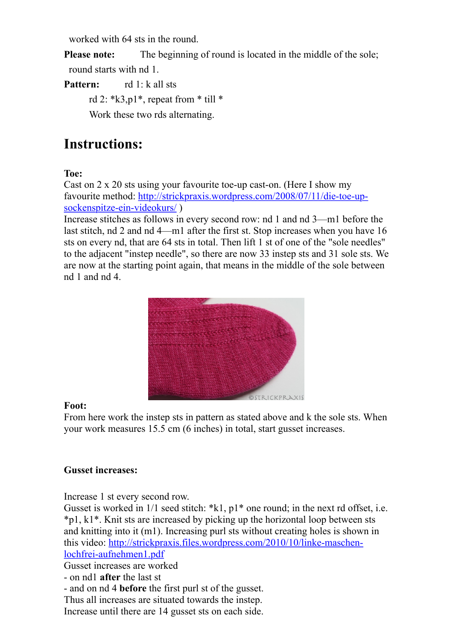worked with 64 sts in the round.

**Please note:** The beginning of round is located in the middle of the sole;

round starts with nd 1.

**Pattern:** rd 1: k all sts

rd 2: \*k3,p1\*, repeat from \* till \*

Work these two rds alternating.

# **Instructions:**

## **Toe:**

Cast on 2 x 20 sts using your favourite toe-up cast-on. (Here I show my favourite method: http://strickpraxis.wordpress.com/2008/07/11/die-toe-upsockenspitze-ein-videokurs/ )

Increase stitches as follows in every second row: nd 1 and nd 3—m1 before the last stitch, nd 2 and nd 4—m1 after the first st. Stop increases when you have 16 sts on every nd, that are 64 sts in total. Then lift 1 st of one of the "sole needles" to the adjacent "instep needle", so there are now 33 instep sts and 31 sole sts. We are now at the starting point again, that means in the middle of the sole between nd 1 and nd 4.



#### **Foot:**

From here work the instep sts in pattern as stated above and k the sole sts. When your work measures 15.5 cm (6 inches) in total, start gusset increases.

#### **Gusset increases:**

Increase 1 st every second row.

Gusset is worked in  $1/1$  seed stitch: \*k1,  $p1$ \* one round; in the next rd offset, i.e. \*p1, k1\*. Knit sts are increased by picking up the horizontal loop between sts and knitting into it (m1). Increasing purl sts without creating holes is shown in this video: http://strickpraxis.files.wordpress.com/2010/10/linke-maschenlochfrei-aufnehmen1.pdf

Gusset increases are worked

- on nd1 **after** the last st
- and on nd 4 **before** the first purl st of the gusset.

Thus all increases are situated towards the instep.

Increase until there are 14 gusset sts on each side.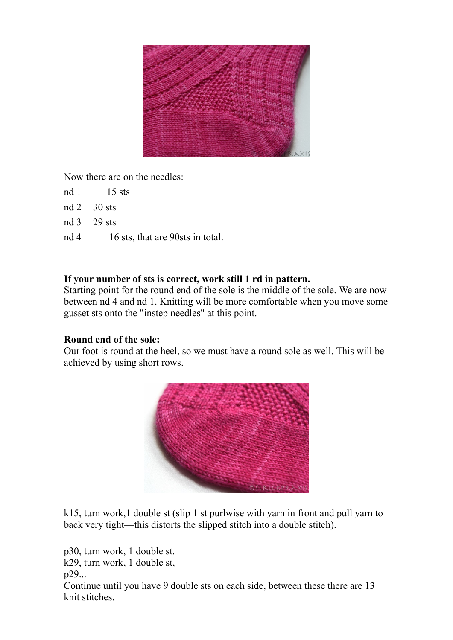

Now there are on the needles:

- nd 1 15 sts
- nd 2 30 sts
- nd 3 29 sts
- nd 4 16 sts, that are 90sts in total.

## **If your number of sts is correct, work still 1 rd in pattern.**

Starting point for the round end of the sole is the middle of the sole. We are now between nd 4 and nd 1. Knitting will be more comfortable when you move some gusset sts onto the "instep needles" at this point.

#### **Round end of the sole:**

Our foot is round at the heel, so we must have a round sole as well. This will be achieved by using short rows.



k15, turn work,1 double st (slip 1 st purlwise with yarn in front and pull yarn to back very tight—this distorts the slipped stitch into a double stitch).

p30, turn work, 1 double st. k29, turn work, 1 double st, p29... Continue until you have 9 double sts on each side, between these there are 13 knit stitches.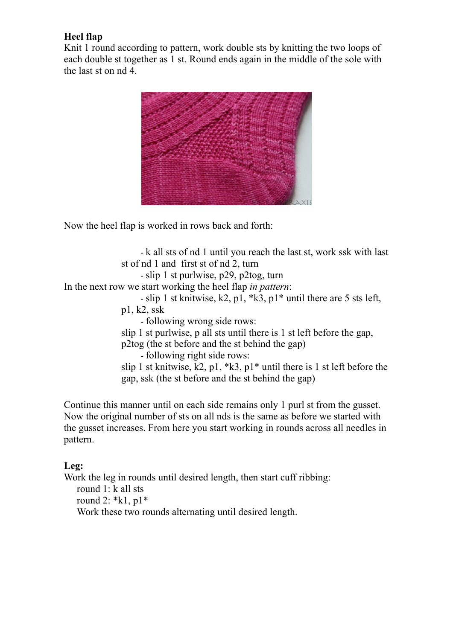#### **Heel flap**

Knit 1 round according to pattern, work double sts by knitting the two loops of each double st together as 1 st. Round ends again in the middle of the sole with the last st on nd 4.



Now the heel flap is worked in rows back and forth:

- k all sts of nd 1 until you reach the last st, work ssk with last st of nd 1 and first st of nd 2, turn - slip 1 st purlwise, p29, p2tog, turn In the next row we start working the heel flap *in pattern*: - slip 1 st knitwise, k2, p1,  $*k3$ , p1 $*$  until there are 5 sts left, p1, k2, ssk - following wrong side rows: slip 1 st purlwise, p all sts until there is 1 st left before the gap, p2tog (the st before and the st behind the gap) - following right side rows: slip 1 st knitwise, k2, p1,  $*k3$ , p1 $*$  until there is 1 st left before the gap, ssk (the st before and the st behind the gap)

Continue this manner until on each side remains only 1 purl st from the gusset. Now the original number of sts on all nds is the same as before we started with the gusset increases. From here you start working in rounds across all needles in pattern.

#### **Leg:**

Work the leg in rounds until desired length, then start cuff ribbing: round 1: k all sts round 2: \*k1, p1\* Work these two rounds alternating until desired length.